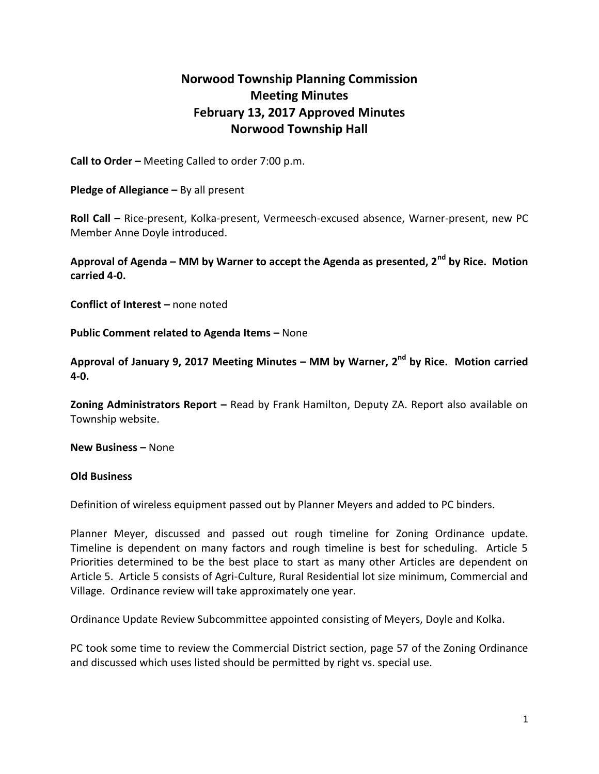## **Norwood Township Planning Commission Meeting Minutes February 13, 2017 Approved Minutes Norwood Township Hall**

**Call to Order –** Meeting Called to order 7:00 p.m.

**Pledge of Allegiance –** By all present

**Roll Call –** Rice-present, Kolka-present, Vermeesch-excused absence, Warner-present, new PC Member Anne Doyle introduced.

**Approval of Agenda – MM by Warner to accept the Agenda as presented, 2nd by Rice. Motion carried 4-0.**

**Conflict of Interest –** none noted

**Public Comment related to Agenda Items - None** 

**Approval of January 9, 2017 Meeting Minutes – MM by Warner, 2nd by Rice. Motion carried 4-0.**

**Zoning Administrators Report –** Read by Frank Hamilton, Deputy ZA. Report also available on Township website.

**New Business –** None

## **Old Business**

Definition of wireless equipment passed out by Planner Meyers and added to PC binders.

Planner Meyer, discussed and passed out rough timeline for Zoning Ordinance update. Timeline is dependent on many factors and rough timeline is best for scheduling. Article 5 Priorities determined to be the best place to start as many other Articles are dependent on Article 5. Article 5 consists of Agri-Culture, Rural Residential lot size minimum, Commercial and Village. Ordinance review will take approximately one year.

Ordinance Update Review Subcommittee appointed consisting of Meyers, Doyle and Kolka.

PC took some time to review the Commercial District section, page 57 of the Zoning Ordinance and discussed which uses listed should be permitted by right vs. special use.